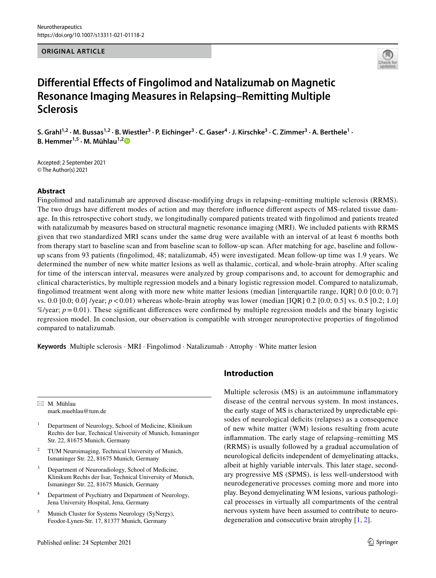**ORIGINAL ARTICLE**



# **Differential Effects of Fingolimod and Natalizumab on Magnetic Resonance Imaging Measures in Relapsing–Remitting Multiple Sclerosis**

S. Grahl<sup>1,2</sup> · M. Bussas<sup>1,2</sup> · B. Wiestler<sup>3</sup> · P. Eichinger<sup>3</sup> · C. Gaser<sup>4</sup> · J. Kirschke<sup>3</sup> · C. Zimmer<sup>3</sup> · A. Berthele<sup>1</sup> · **B. Hemmer1,5 · M. Mühlau1,[2](http://orcid.org/0000-0002-9545-2709)**

Accepted: 2 September 2021 © The Author(s) 2021

## **Abstract**

Fingolimod and natalizumab are approved disease-modifying drugs in relapsing–remitting multiple sclerosis (RRMS). The two drugs have diferent modes of action and may therefore infuence diferent aspects of MS-related tissue damage. In this retrospective cohort study, we longitudinally compared patients treated with fngolimod and patients treated with natalizumab by measures based on structural magnetic resonance imaging (MRI). We included patients with RRMS given that two standardized MRI scans under the same drug were available with an interval of at least 6 months both from therapy start to baseline scan and from baseline scan to follow-up scan. After matching for age, baseline and followup scans from 93 patients (fngolimod, 48; natalizumab, 45) were investigated. Mean follow-up time was 1.9 years. We determined the number of new white matter lesions as well as thalamic, cortical, and whole-brain atrophy. After scaling for time of the interscan interval, measures were analyzed by group comparisons and, to account for demographic and clinical characteristics, by multiple regression models and a binary logistic regression model. Compared to natalizumab, fngolimod treatment went along with more new white matter lesions (median [interquartile range, IQR] 0.0 [0.0; 0.7] vs. 0.0 [0.0; 0.0] /year; *p*<0.01) whereas whole-brain atrophy was lower (median [IQR] 0.2 [0.0; 0.5] vs. 0.5 [0.2; 1.0]  $\%$ /year;  $p=0.01$ ). These significant differences were confirmed by multiple regression models and the binary logistic regression model. In conclusion, our observation is compatible with stronger neuroprotective properties of fngolimod compared to natalizumab.

**Keywords** Multiple sclerosis · MRI · Fingolimod · Natalizumab · Atrophy · White matter lesion

 $\boxtimes$  M. Mühlau mark.muehlau@tum.de

- <sup>1</sup> Department of Neurology, School of Medicine, Klinikum Rechts der Isar, Technical University of Munich, Ismaninger Str. 22, 81675 Munich, Germany
- TUM Neuroimaging, Technical University of Munich, Ismaninger Str. 22, 81675 Munich, Germany
- <sup>3</sup> Department of Neuroradiology, School of Medicine, Klinikum Rechts der Isar, Technical University of Munich, Ismaninger Str. 22, 81675 Munich, Germany
- <sup>4</sup> Department of Psychiatry and Department of Neurology, Jena University Hospital, Jena, Germany
- <sup>5</sup> Munich Cluster for Systems Neurology (SyNergy), Feodor-Lynen-Str. 17, 81377 Munich, Germany

## **Introduction**

Multiple sclerosis (MS) is an autoimmune infammatory disease of the central nervous system. In most instances, the early stage of MS is characterized by unpredictable episodes of neurological deficits (relapses) as a consequence of new white matter (WM) lesions resulting from acute infammation. The early stage of relapsing–remitting MS (RRMS) is usually followed by a gradual accumulation of neurological defcits independent of demyelinating attacks, albeit at highly variable intervals. This later stage, secondary progressive MS (SPMS), is less well-understood with neurodegenerative processes coming more and more into play. Beyond demyelinating WM lesions, various pathological processes in virtually all compartments of the central nervous system have been assumed to contribute to neurodegeneration and consecutive brain atrophy [\[1](#page-7-0), [2](#page-7-1)].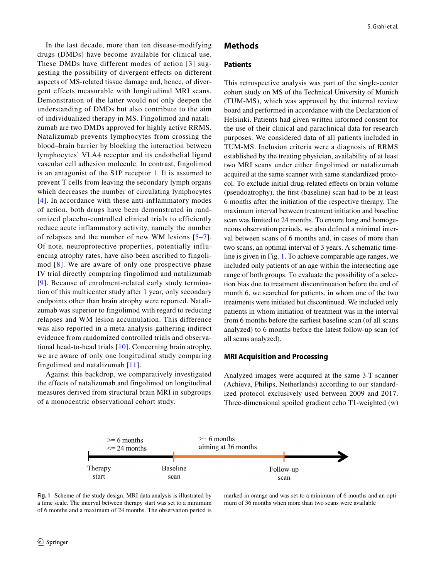In the last decade, more than ten disease-modifying drugs (DMDs) have become available for clinical use. These DMDs have different modes of action [[3](#page-7-2)] suggesting the possibility of divergent effects on different aspects of MS-related tissue damage and, hence, of divergent effects measurable with longitudinal MRI scans. Demonstration of the latter would not only deepen the understanding of DMDs but also contribute to the aim of individualized therapy in MS. Fingolimod and natalizumab are two DMDs approved for highly active RRMS. Natalizumab prevents lymphocytes from crossing the blood–brain barrier by blocking the interaction between lymphocytes' VLA4 receptor and its endothelial ligand vascular cell adhesion molecule. In contrast, fingolimod is an antagonist of the S1P receptor 1. It is assumed to prevent T cells from leaving the secondary lymph organs which decreases the number of circulating lymphocytes [[4\]](#page-7-3). In accordance with these anti-inflammatory modes of action, both drugs have been demonstrated in randomized placebo-controlled clinical trials to efficiently reduce acute inflammatory activity, namely the number of relapses and the number of new WM lesions [[5](#page-7-4)–[7\]](#page-7-5). Of note, neuroprotective properties, potentially influencing atrophy rates, have also been ascribed to fingolimod [[8\]](#page-7-6). We are aware of only one prospective phase IV trial directly comparing fingolimod and natalizumab [[9](#page-7-7)]. Because of enrolment-related early study termination of this multicenter study after 1 year, only secondary endpoints other than brain atrophy were reported. Natalizumab was superior to fingolimod with regard to reducing relapses and WM lesion accumulation. This difference was also reported in a meta-analysis gathering indirect evidence from randomized controlled trials and observational head-to-head trials [\[10\]](#page-7-8). Concerning brain atrophy, we are aware of only one longitudinal study comparing fingolimod and natalizumab [\[11\]](#page-7-9).

Against this backdrop, we comparatively investigated the effects of natalizumab and fingolimod on longitudinal measures derived from structural brain MRI in subgroups of a monocentric observational cohort study.

#### **Methods**

## **Patients**

This retrospective analysis was part of the single-center cohort study on MS of the Technical University of Munich (TUM-MS), which was approved by the internal review board and performed in accordance with the Declaration of Helsinki. Patients had given written informed consent for the use of their clinical and paraclinical data for research purposes. We considered data of all patients included in TUM-MS. Inclusion criteria were a diagnosis of RRMS established by the treating physician, availability of at least two MRI scans under either fngolimod or natalizumab acquired at the same scanner with same standardized protocol. To exclude initial drug-related efects on brain volume (pseudoatrophy), the frst (baseline) scan had to be at least 6 months after the initiation of the respective therapy. The maximum interval between treatment initiation and baseline scan was limited to 24 months. To ensure long and homogeneous observation periods, we also defned a minimal interval between scans of 6 months and, in cases of more than two scans, an optimal interval of 3 years. A schematic timeline is given in Fig. [1.](#page-1-0) To achieve comparable age ranges, we included only patients of an age within the intersecting age range of both groups. To evaluate the possibility of a selection bias due to treatment discontinuation before the end of month 6, we searched for patients, in whom one of the two treatments were initiated but discontinued. We included only patients in whom initiation of treatment was in the interval from 6 months before the earliest baseline scan (of all scans analyzed) to 6 months before the latest follow-up scan (of all scans analyzed).

## **MRI Acquisition and Processing**

Analyzed images were acquired at the same 3-T scanner (Achieva, Philips, Netherlands) according to our standardized protocol exclusively used between 2009 and 2017. Three-dimensional spoiled gradient echo T1-weighted (w)



<span id="page-1-0"></span>

marked in orange and was set to a minimum of 6 months and an optimum of 36 months when more than two scans were available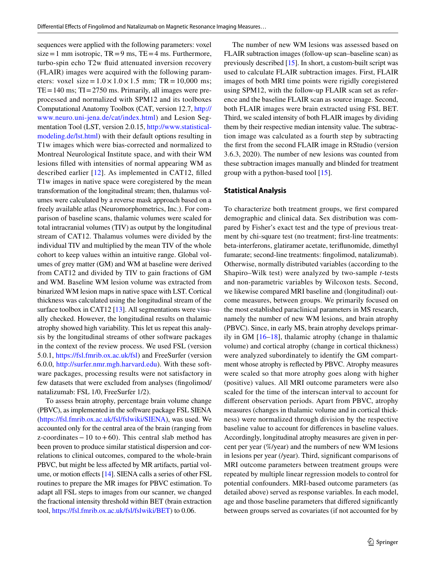sequences were applied with the following parameters: voxel  $size=1$  mm isotropic,  $TR=9$  ms,  $TE=4$  ms. Furthermore, turbo-spin echo T2w fuid attenuated inversion recovery (FLAIR) images were acquired with the following parameters: voxel size =  $1.0 \times 1.0 \times 1.5$  mm; TR = 10,000 ms;  $TE=140$  ms;  $TI=2750$  ms. Primarily, all images were preprocessed and normalized with SPM12 and its toolboxes Computational Anatomy Toolbox (CAT, version 12.7, [http://](http://www.neuro.uni-jena.de/cat/index.html) [www.neuro.uni-jena.de/cat/index.html\)](http://www.neuro.uni-jena.de/cat/index.html) and Lesion Segmentation Tool (LST, version 2.0.15, [http://www.statistical](http://www.statistical-modeling.de/lst.html)[modeling.de/lst.html\)](http://www.statistical-modeling.de/lst.html) with their default options resulting in T1w images which were bias-corrected and normalized to Montreal Neurological Institute space, and with their WM lesions flled with intensities of normal appearing WM as described earlier [[12](#page-7-10)]. As implemented in CAT12, flled T1w images in native space were coregistered by the mean transformation of the longitudinal stream; then, thalamus volumes were calculated by a reverse mask approach based on a freely available atlas (Neuromorphometrics, Inc.). For comparison of baseline scans, thalamic volumes were scaled for total intracranial volumes (TIV) as output by the longitudinal stream of CAT12. Thalamus volumes were divided by the individual TIV and multiplied by the mean TIV of the whole cohort to keep values within an intuitive range. Global volumes of grey matter (GM) and WM at baseline were derived from CAT12 and divided by TIV to gain fractions of GM and WM. Baseline WM lesion volume was extracted from binarized WM lesion maps in native space with LST. Cortical thickness was calculated using the longitudinal stream of the surface toolbox in CAT12 [[13](#page-7-11)]. All segmentations were visually checked. However, the longitudinal results on thalamic atrophy showed high variability. This let us repeat this analysis by the longitudinal streams of other software packages in the context of the review process. We used FSL (version 5.0.1, [https://fsl.fmrib.ox.ac.uk/fsl\)](https://fsl.fmrib.ox.ac.uk/fsl) and FreeSurfer (version 6.0.0, [http://surfer.nmr.mgh.harvard.edu\)](http://surfer.nmr.mgh.harvard.edu). With these software packages, processing results were not satisfactory in few datasets that were excluded from analyses (fngolimod/ natalizumab: FSL 1/0, FreeSurfer 1/2).

To assess brain atrophy, percentage brain volume change (PBVC), as implemented in the software package FSL SIENA [\(https://fsl.fmrib.ox.ac.uk/fsl/fslwiki/SIENA](https://fsl.fmrib.ox.ac.uk/fsl/fslwiki/SIENA)), was used. We accounted only for the central area of the brain (ranging from z-coordinates−10 to+60). This central slab method has been proven to produce similar statistical dispersion and correlations to clinical outcomes, compared to the whole-brain PBVC, but might be less affected by MR artifacts, partial volume, or motion efects [\[14\]](#page-7-12). SIENA calls a series of other FSL routines to prepare the MR images for PBVC estimation. To adapt all FSL steps to images from our scanner, we changed the fractional intensity threshold within BET (brain extraction tool,<https://fsl.fmrib.ox.ac.uk/fsl/fslwiki/BET>) to 0.06.

The number of new WM lesions was assessed based on FLAIR subtraction images (follow-up scan–baseline scan) as previously described [\[15](#page-8-0)]. In short, a custom-built script was used to calculate FLAIR subtraction images. First, FLAIR images of both MRI time points were rigidly coregistered using SPM12, with the follow-up FLAIR scan set as reference and the baseline FLAIR scan as source image. Second, both FLAIR images were brain extracted using FSL BET. Third, we scaled intensity of both FLAIR images by dividing them by their respective median intensity value. The subtraction image was calculated as a fourth step by subtracting the frst from the second FLAIR image in RStudio (version 3.6.3, 2020). The number of new lesions was counted from these subtraction images manually and blinded for treatment group with a python-based tool [\[15](#page-8-0)].

#### **Statistical Analysis**

To characterize both treatment groups, we frst compared demographic and clinical data. Sex distribution was compared by Fisher's exact test and the type of previous treatment by chi-square test (no treatment; frst-line treatments: beta-interferons, glatiramer acetate, terifunomide, dimethyl fumarate; second-line treatments: fngolimod, natalizumab). Otherwise, normally distributed variables (according to the Shapiro–Wilk test) were analyzed by two-sample *t*-tests and non-parametric variables by Wilcoxon tests. Second, we likewise compared MRI baseline and (longitudinal) outcome measures, between groups. We primarily focused on the most established paraclinical parameters in MS research, namely the number of new WM lesions, and brain atrophy (PBVC). Since, in early MS, brain atrophy develops primarily in GM  $[16–18]$  $[16–18]$  $[16–18]$ , thalamic atrophy (change in thalamic volume) and cortical atrophy (change in cortical thickness) were analyzed subordinately to identify the GM compartment whose atrophy is refected by PBVC. Atrophy measures were scaled so that more atrophy goes along with higher (positive) values. All MRI outcome parameters were also scaled for the time of the interscan interval to account for diferent observation periods. Apart from PBVC, atrophy measures (changes in thalamic volume and in cortical thickness) were normalized through division by the respective baseline value to account for diferences in baseline values. Accordingly, longitudinal atrophy measures are given in percent per year (%/year) and the numbers of new WM lesions in lesions per year (/year). Third, signifcant comparisons of MRI outcome parameters between treatment groups were repeated by multiple linear regression models to control for potential confounders. MRI-based outcome parameters (as detailed above) served as response variables. In each model, age and those baseline parameters that difered signifcantly between groups served as covariates (if not accounted for by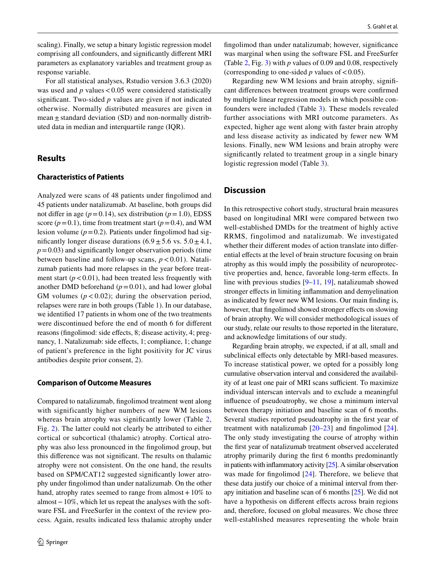scaling). Finally, we setup a binary logistic regression model comprising all confounders, and signifcantly diferent MRI parameters as explanatory variables and treatment group as response variable.

For all statistical analyses, Rstudio version 3.6.3 (2020) was used and  $p$  values  $< 0.05$  were considered statistically signifcant. Two-sided *p* values are given if not indicated otherwise. Normally distributed measures are given in mean  $\pm$  standard deviation (SD) and non-normally distributed data in median and interquartile range (IQR).

## **Results**

#### **Characteristics of Patients**

Analyzed were scans of 48 patients under fngolimod and 45 patients under natalizumab. At baseline, both groups did not differ in age  $(p=0.14)$ , sex distribution  $(p=1.0)$ , EDSS score  $(p=0.1)$ , time from treatment start  $(p=0.4)$ , and WM lesion volume  $(p=0.2)$ . Patients under fingolimod had significantly longer disease durations  $(6.9 \pm 5.6 \text{ vs. } 5.0 \pm 4.1,$  $p=0.03$ ) and significantly longer observation periods (time between baseline and follow-up scans,  $p < 0.01$ ). Natalizumab patients had more relapses in the year before treatment start  $(p < 0.01)$ , had been treated less frequently with another DMD beforehand  $(p=0.01)$ , and had lower global GM volumes  $(p < 0.02)$ ; during the observation period, relapses were rare in both groups (Table [1\)](#page-4-0). In our database, we identifed 17 patients in whom one of the two treatments were discontinued before the end of month 6 for diferent reasons (fingolimod: side effects, 8; disease activity, 4; pregnancy, 1. Natalizumab: side efects, 1; compliance, 1; change of patient's preference in the light positivity for JC virus antibodies despite prior consent, 2).

#### **Comparison of Outcome Measures**

Compared to natalizumab, fngolimod treatment went along with significantly higher numbers of new WM lesions whereas brain atrophy was significantly lower (Table [2,](#page-5-0) Fig. [2](#page-5-1)). The latter could not clearly be attributed to either cortical or subcortical (thalamic) atrophy. Cortical atrophy was also less pronounced in the fngolimod group, but this diference was not signifcant. The results on thalamic atrophy were not consistent. On the one hand, the results based on SPM/CAT12 suggested signifcantly lower atrophy under fngolimod than under natalizumab. On the other hand, atrophy rates seemed to range from almost  $+10\%$  to almost−10%, which let us repeat the analyses with the software FSL and FreeSurfer in the context of the review process. Again, results indicated less thalamic atrophy under fngolimod than under natalizumab; however, signifcance was marginal when using the software FSL and FreeSurfer (Table [2](#page-5-0), Fig. [3\)](#page-6-0) with *p* values of 0.09 and 0.08, respectively (corresponding to one-sided  $p$  values of  $< 0.05$ ).

Regarding new WM lesions and brain atrophy, signifcant diferences between treatment groups were confrmed by multiple linear regression models in which possible confounders were included (Table [3\)](#page-7-13). These models revealed further associations with MRI outcome parameters. As expected, higher age went along with faster brain atrophy and less disease activity as indicated by fewer new WM lesions. Finally, new WM lesions and brain atrophy were signifcantly related to treatment group in a single binary logistic regression model (Table [3\)](#page-7-13).

## **Discussion**

In this retrospective cohort study, structural brain measures based on longitudinal MRI were compared between two well-established DMDs for the treatment of highly active RRMS, fingolimod and natalizumab. We investigated whether their diferent modes of action translate into diferential effects at the level of brain structure focusing on brain atrophy as this would imply the possibility of neuroprotective properties and, hence, favorable long-term efects. In line with previous studies  $[9-11, 19]$  $[9-11, 19]$  $[9-11, 19]$  $[9-11, 19]$ , natalizumab showed stronger efects in limiting infammation and demyelination as indicated by fewer new WM lesions. Our main fnding is, however, that fingolimod showed stronger effects on slowing of brain atrophy. We will consider methodological issues of our study, relate our results to those reported in the literature, and acknowledge limitations of our study.

Regarding brain atrophy, we expected, if at all, small and subclinical effects only detectable by MRI-based measures. To increase statistical power, we opted for a possibly long cumulative observation interval and considered the availability of at least one pair of MRI scans sufficient. To maximize individual interscan intervals and to exclude a meaningful infuence of pseudoatrophy, we chose a minimum interval between therapy initiation and baseline scan of 6 months. Several studies reported pseudoatrophy in the frst year of treatment with natalizumab [\[20–](#page-8-4)[23\]](#page-8-5) and fngolimod [\[24](#page-8-6)]. The only study investigating the course of atrophy within the frst year of natalizumab treatment observed accelerated atrophy primarily during the frst 6 months predominantly in patients with infammatory activity [\[25\]](#page-8-7). A similar observation was made for fingolimod [[24\]](#page-8-6). Therefore, we believe that these data justify our choice of a minimal interval from therapy initiation and baseline scan of 6 months [\[25](#page-8-7)]. We did not have a hypothesis on different effects across brain regions and, therefore, focused on global measures. We chose three well-established measures representing the whole brain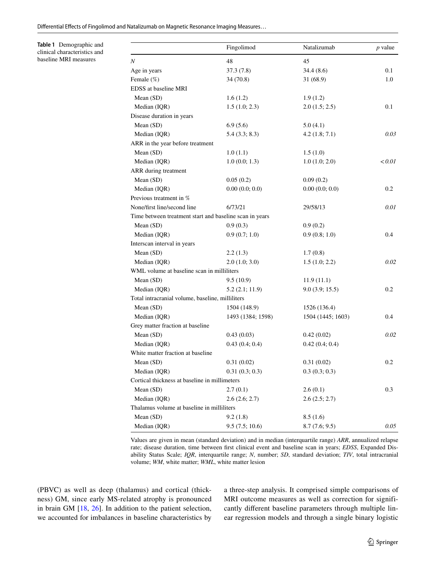Diferential Efects of Fingolimod and Natalizumab on Magnetic Resonance Imaging Measures…

<span id="page-4-0"></span>**Table 1** Demographic and clinical characteristics and baseline MRI measures

|                                                         | Fingolimod        | Natalizumab       | <i>p</i> value |
|---------------------------------------------------------|-------------------|-------------------|----------------|
| Ν                                                       | 48                | 45                |                |
| Age in years                                            | 37.3(7.8)         | 34.4 (8.6)        | 0.1            |
| Female (%)                                              | 34 (70.8)         | 31 (68.9)         | 1.0            |
| EDSS at baseline MRI                                    |                   |                   |                |
| Mean (SD)                                               | 1.6(1.2)          | 1.9(1.2)          |                |
| Median (IQR)                                            | 1.5(1.0; 2.3)     | 2.0(1.5; 2.5)     | 0.1            |
| Disease duration in years                               |                   |                   |                |
| Mean (SD)                                               | 6.9(5.6)          | 5.0(4.1)          |                |
| Median (IQR)                                            | 5.4(3.3; 8.3)     | 4.2(1.8; 7.1)     | 0.03           |
| ARR in the year before treatment                        |                   |                   |                |
| Mean (SD)                                               | 1.0(1.1)          | 1.5(1.0)          |                |
| Median (IQR)                                            | 1.0(0.0; 1.3)     | 1.0(1.0; 2.0)     | < 0.01         |
| ARR during treatment                                    |                   |                   |                |
| Mean (SD)                                               | 0.05(0.2)         | 0.09(0.2)         |                |
| Median (IQR)                                            | 0.00(0.0; 0.0)    | 0.00(0.0; 0.0)    | 0.2            |
| Previous treatment in %                                 |                   |                   |                |
| None/first line/second line                             | 6/73/21           | 29/58/13          | 0.01           |
| Time between treatment start and baseline scan in years |                   |                   |                |
| Mean (SD)                                               | 0.9(0.3)          | 0.9(0.2)          |                |
| Median (IQR)                                            | 0.9(0.7; 1.0)     | 0.9(0.8; 1.0)     | 0.4            |
| Interscan interval in years                             |                   |                   |                |
| Mean (SD)                                               | 2.2(1.3)          | 1.7(0.8)          |                |
| Median (IQR)                                            | 2.0(1.0; 3.0)     | 1.5(1.0; 2.2)     | 0.02           |
| WML volume at baseline scan in milliliters              |                   |                   |                |
| Mean (SD)                                               | 9.5(10.9)         | 11.9(11.1)        |                |
| Median (IQR)                                            | 5.2(2.1; 11.9)    | 9.0(3.9; 15.5)    | 0.2            |
| Total intracranial volume, baseline, milliliters        |                   |                   |                |
| Mean (SD)                                               | 1504 (148.9)      | 1526 (136.4)      |                |
| Median (IQR)                                            | 1493 (1384; 1598) | 1504 (1445; 1603) | 0.4            |
| Grey matter fraction at baseline                        |                   |                   |                |
| Mean (SD)                                               | 0.43(0.03)        | 0.42(0.02)        | 0.02           |
| Median (IQR)                                            | 0.43(0.4;0.4)     | 0.42(0.4; 0.4)    |                |
| White matter fraction at baseline                       |                   |                   |                |
| Mean (SD)                                               | 0.31(0.02)        | 0.31(0.02)        | 0.2            |
| Median (IQR)                                            | 0.31(0.3; 0.3)    | 0.3(0.3; 0.3)     |                |
| Cortical thickness at baseline in millimeters           |                   |                   |                |
| Mean (SD)                                               | 2.7(0.1)          | 2.6(0.1)          | 0.3            |
| Median (IQR)                                            | 2.6(2.6; 2.7)     | 2.6(2.5; 2.7)     |                |
| Thalamus volume at baseline in milliliters              |                   |                   |                |
| Mean (SD)                                               | 9.2(1.8)          | 8.5(1.6)          |                |
| Median (IQR)                                            | 9.5(7.5; 10.6)    | 8.7(7.6; 9.5)     | 0.05           |

Values are given in mean (standard deviation) and in median (interquartile range) *ARR*, annualized relapse rate; disease duration, time between frst clinical event and baseline scan in years; *EDSS*, Expanded Disability Status Scale; *IQR*, interquartile range; *N*, number; *SD*, standard deviation; *TIV*, total intracranial volume; *WM*, white matter; *WML*, white matter lesion

(PBVC) as well as deep (thalamus) and cortical (thickness) GM, since early MS-related atrophy is pronounced in brain GM [\[18](#page-8-2), [26](#page-8-8)]. In addition to the patient selection, we accounted for imbalances in baseline characteristics by a three-step analysis. It comprised simple comparisons of MRI outcome measures as well as correction for significantly diferent baseline parameters through multiple linear regression models and through a single binary logistic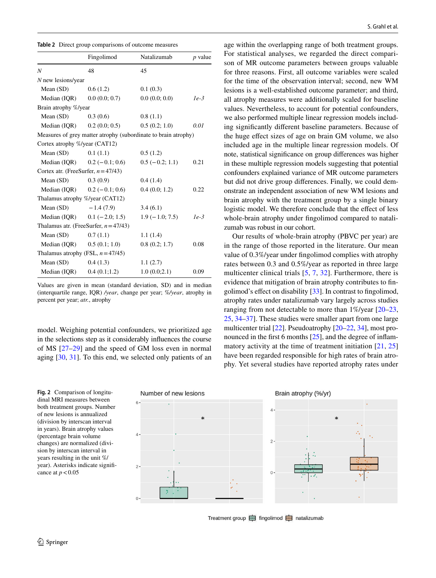<span id="page-5-0"></span>

| Table 2 Direct group comparisons of outcome measures |  |
|------------------------------------------------------|--|
|------------------------------------------------------|--|

|                                        | Fingolimod                               | Natalizumab                                                    | $p$ value |
|----------------------------------------|------------------------------------------|----------------------------------------------------------------|-----------|
| N                                      | 48                                       | 45                                                             |           |
| N new lesions/year                     |                                          |                                                                |           |
| Mean $(SD)$                            | 0.6(1.2)                                 | 0.1(0.3)                                                       |           |
| Median (IQR)                           | 0.0(0.0; 0.7)                            | 0.0(0.0; 0.0)                                                  | $1e-3$    |
| Brain atrophy %/year                   |                                          |                                                                |           |
| Mean (SD)                              | 0.3(0.6)                                 | 0.8(1.1)                                                       |           |
| Median (IQR)                           | 0.2(0.0; 0.5)                            | 0.5(0.2; 1.0)                                                  | 0.01      |
|                                        |                                          | Measures of grey matter atrophy (subordinate to brain atrophy) |           |
| Cortex atrophy %/year (CAT12)          |                                          |                                                                |           |
| Mean $(SD)$                            | 0.1(1.1)                                 | 0.5(1.2)                                                       |           |
|                                        | Median (IQR) $0.2 (-0.1; 0.6)$           | $0.5(-0.2; 1.1)$                                               | 0.21      |
| Cortex atr. (FreeSurfer, $n = 47/43$ ) |                                          |                                                                |           |
| Mean (SD)                              | 0.3(0.9)                                 | 0.4(1.4)                                                       |           |
|                                        | Median (IQR) $0.2 (-0.1; 0.6)$           | 0.4(0.0; 1.2)                                                  | 0.22      |
| Thalamus atrophy %/year (CAT12)        |                                          |                                                                |           |
| Mean $(SD)$                            | $-1.4(7.9)$                              | 3.4(6.1)                                                       |           |
|                                        | Median (IQR) $0.1 (-2.0; 1.5)$           | $1.9(-1.0; 7.5)$                                               | $1e-3$    |
|                                        | Thalamus atr. (FreeSurfer, $n = 47/43$ ) |                                                                |           |
| Mean $(SD)$                            | 0.7(1.1)                                 | 1.1(1.4)                                                       |           |
| Median (IQR)                           | 0.5(0.1; 1.0)                            | 0.8(0.2; 1.7)                                                  | 0.08      |
| Thalamus atrophy (FSL, $n = 47/45$ )   |                                          |                                                                |           |
| Mean $(SD)$                            | 0.4(1.3)                                 | 1.1(2.7)                                                       |           |
| Median (IQR)                           | 0.4(0.1;1.2)                             | 1.0(0.0;2.1)                                                   | 0.09      |

Values are given in mean (standard deviation, SD) and in median (interquartile range, IQR) */year*, change per year; *%/year*, atrophy in percent per year; *atr.*, atrophy

model. Weighing potential confounders, we prioritized age in the selections step as it considerably infuences the course of MS [\[27](#page-8-9)[–29](#page-8-10)] and the speed of GM loss even in normal aging [\[30](#page-8-11), [31\]](#page-8-12). To this end, we selected only patients of an

<span id="page-5-1"></span>**Fig. 2** Comparison of longitudinal MRI measures between both treatment groups. Number of new lesions is annualized (division by interscan interval in years). Brain atrophy values (percentage brain volume changes) are normalized (division by interscan interval in years resulting in the unit %/ year). Asterisks indicate signifcance at  $p < 0.05$ 

age within the overlapping range of both treatment groups. For statistical analyses, we regarded the direct comparison of MR outcome parameters between groups valuable for three reasons. First, all outcome variables were scaled for the time of the observation interval; second, new WM lesions is a well-established outcome parameter; and third, all atrophy measures were additionally scaled for baseline values. Nevertheless, to account for potential confounders, we also performed multiple linear regression models including signifcantly diferent baseline parameters. Because of the huge efect sizes of age on brain GM volume, we also included age in the multiple linear regression models. Of note, statistical signifcance on group diferences was higher in these multiple regression models suggesting that potential confounders explained variance of MR outcome parameters but did not drive group diferences. Finally, we could demonstrate an independent association of new WM lesions and brain atrophy with the treatment group by a single binary logistic model. We therefore conclude that the effect of less whole-brain atrophy under fngolimod compared to natalizumab was robust in our cohort.

Our results of whole-brain atrophy (PBVC per year) are in the range of those reported in the literature. Our mean value of 0.3%/year under fngolimod complies with atrophy rates between 0.3 and 0.5%/year as reported in three large multicenter clinical trials [\[5](#page-7-4), [7](#page-7-5), [32\]](#page-8-13). Furthermore, there is evidence that mitigation of brain atrophy contributes to fngolimod's efect on disability [[33\]](#page-8-14). In contrast to fngolimod, atrophy rates under natalizumab vary largely across studies ranging from not detectable to more than 1%/year [\[20–](#page-8-4)[23,](#page-8-5) [25](#page-8-7), [34–](#page-8-15)[37\]](#page-8-16). These studies were smaller apart from one large multicenter trial [[22\]](#page-8-17). Pseudoatrophy [\[20](#page-8-4)[–22](#page-8-17), [34](#page-8-15)], most pro-nounced in the first 6 months [[25\]](#page-8-7), and the degree of inflammatory activity at the time of treatment initiation [[21](#page-8-18), [25\]](#page-8-7) have been regarded responsible for high rates of brain atrophy. Yet several studies have reported atrophy rates under



Treatment group  $\rightleftharpoons$  fingolimod  $\rightleftharpoons$  natalizumab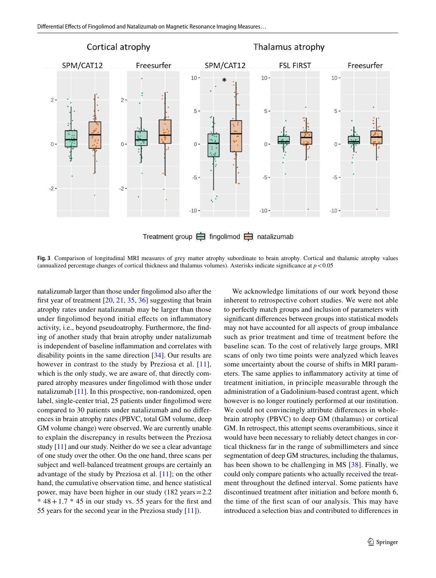

<span id="page-6-0"></span>**Fig. 3** Comparison of longitudinal MRI measures of grey matter atrophy subordinate to brain atrophy. Cortical and thalamic atrophy values (annualized percentage changes of cortical thickness and thalamus volumes). Asterisks indicate significance at  $p < 0.05$ 

natalizumab larger than those under fngolimod also after the frst year of treatment [[20,](#page-8-4) [21](#page-8-18), [35](#page-8-19), [36](#page-8-20)] suggesting that brain atrophy rates under natalizumab may be larger than those under fngolimod beyond initial efects on infammatory activity, i.e., beyond pseudoatrophy. Furthermore, the fnding of another study that brain atrophy under natalizumab is independent of baseline infammation and correlates with disability points in the same direction [\[34\]](#page-8-15). Our results are however in contrast to the study by Preziosa et al. [[11\]](#page-7-9), which is the only study, we are aware of, that directly compared atrophy measures under fngolimod with those under natalizumab [\[11\]](#page-7-9). In this prospective, non-randomized, open label, single-center trial, 25 patients under fngolimod were compared to 30 patients under natalizumab and no diferences in brain atrophy rates (PBVC, total GM volume, deep GM volume change) were observed. We are currently unable to explain the discrepancy in results between the Preziosa study [[11\]](#page-7-9) and our study. Neither do we see a clear advantage of one study over the other. On the one hand, three scans per subject and well-balanced treatment groups are certainly an advantage of the study by Preziosa et al. [\[11](#page-7-9)]; on the other hand, the cumulative observation time, and hence statistical power, may have been higher in our study (182 years=2.2  $*$  48 + 1.7  $*$  45 in our study vs. 55 years for the first and 55 years for the second year in the Preziosa study [[11\]](#page-7-9)).

We acknowledge limitations of our work beyond those inherent to retrospective cohort studies. We were not able to perfectly match groups and inclusion of parameters with signifcant diferences between groups into statistical models may not have accounted for all aspects of group imbalance such as prior treatment and time of treatment before the baseline scan. To the cost of relatively large groups, MRI scans of only two time points were analyzed which leaves some uncertainty about the course of shifts in MRI parameters. The same applies to infammatory activity at time of treatment initiation, in principle measurable through the administration of a Gadolinium-based contrast agent, which however is no longer routinely performed at our institution. We could not convincingly attribute differences in wholebrain atrophy (PBVC) to deep GM (thalamus) or cortical GM. In retrospect, this attempt seems overambitious, since it would have been necessary to reliably detect changes in cortical thickness far in the range of submillimeters and since segmentation of deep GM structures, including the thalamus, has been shown to be challenging in MS [[38](#page-8-21)]. Finally, we could only compare patients who actually received the treatment throughout the defned interval. Some patients have discontinued treatment after initiation and before month 6, the time of the frst scan of our analysis. This may have introduced a selection bias and contributed to diferences in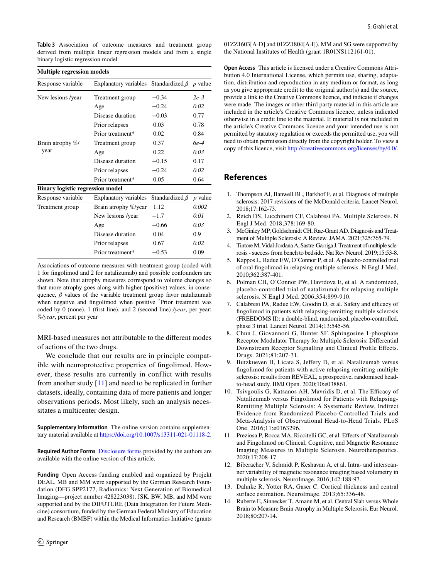<span id="page-7-13"></span>**Table 3** Association of outcome measures and treatment group derived from multiple linear regression models and from a single binary logistic regression model

|  | <b>Multiple regression models</b> |  |  |
|--|-----------------------------------|--|--|
|--|-----------------------------------|--|--|

| Response variable                       | Explanatory variables Standardized $\beta$ p value |                      |           |
|-----------------------------------------|----------------------------------------------------|----------------------|-----------|
| New lesions /year                       | Treatment group                                    | $-0.34$              | $2e-3$    |
|                                         | Age                                                | $-0.24$              | 0.02      |
|                                         | Disease duration                                   | $-0.03$              | 0.77      |
|                                         | Prior relapses                                     | 0.03                 | 0.78      |
|                                         | Prior treatment*                                   | 0.02                 | 0.84      |
| Brain atrophy %/<br>year                | Treatment group                                    | 0.37                 | 6e-4      |
|                                         | Age                                                | 0.22                 | 0.03      |
|                                         | Disease duration                                   | $-0.15$              | 0.17      |
|                                         | Prior relapses                                     | $-0.24$              | 0.02      |
|                                         | Prior treatment*                                   | 0.05                 | 0.64      |
| <b>Binary logistic regression model</b> |                                                    |                      |           |
| Response variable                       | <b>Explanatory variables</b>                       | Standardized $\beta$ | $p$ value |
| Treatment group                         | Brain atrophy %/year                               | 1.12                 | 0.002     |
|                                         | New lesions /year                                  | $-1.7$               | 0.01      |
|                                         | Age                                                | $-0.66$              | 0.03      |
|                                         | Disease duration                                   | 0.04                 | 0.9       |
|                                         | Prior relapses                                     | 0.67                 | 0.02      |
|                                         | Prior treatment*                                   | $-0.53$              | 0.09      |
|                                         |                                                    |                      |           |

Associations of outcome measures with treatment group (coded with 1 for fngolimod and 2 for natalizumab) and possible confounders are shown. Note that atrophy measures correspond to volume changes so that more atrophy goes along with higher (positive) values; in consequence,  $\beta$  values of the variable treatment group favor natalizumab when negative and fngolimod when positive \* Prior treatment was coded by 0 (none), 1 (frst line), and 2 (second line) */year*, per year; *%/year*, percent per year

MRI-based measures not attributable to the diferent modes of actions of the two drugs.

We conclude that our results are in principle compatible with neuroprotective properties of fngolimod. However, these results are currently in conflict with results from another study [\[11](#page-7-9)] and need to be replicated in further datasets, ideally, containing data of more patients and longer observations periods. Most likely, such an analysis necessitates a multicenter design.

<span id="page-7-14"></span>**Supplementary Information** The online version contains supplementary material available at<https://doi.org/10.1007/s13311-021-01118-2>.

**Required Author Forms** [Disclosure forms](#page-7-14) provided by the authors are available with the online version of this article.

**Funding** Open Access funding enabled and organized by Projekt DEAL. MB and MM were supported by the German Research Foundation (DFG SPP2177, Radiomics: Next Generation of Biomedical Imaging—project number 428223038). JSK, BW, MB, and MM were supported and by the DIFUTURE (Data Integration for Future Medicine) consortium, funded by the German Federal Ministry of Education and Research (BMBF) within the Medical Informatics Initiative (grants 01ZZ1603[A-D] and 01ZZ1804[A-I]). MM and SG were supported by the National Institutes of Health (grant 1R01NS112161-01).

**Open Access** This article is licensed under a Creative Commons Attribution 4.0 International License, which permits use, sharing, adaptation, distribution and reproduction in any medium or format, as long as you give appropriate credit to the original author(s) and the source, provide a link to the Creative Commons licence, and indicate if changes were made. The images or other third party material in this article are included in the article's Creative Commons licence, unless indicated otherwise in a credit line to the material. If material is not included in the article's Creative Commons licence and your intended use is not permitted by statutory regulation or exceeds the permitted use, you will need to obtain permission directly from the copyright holder. To view a copy of this licence, visit<http://creativecommons.org/licenses/by/4.0/>.

## **References**

- <span id="page-7-0"></span>1. Thompson AJ, Banwell BL, Barkhof F, et al. Diagnosis of multiple sclerosis: 2017 revisions of the McDonald criteria. Lancet Neurol. 2018;17:162-73.
- <span id="page-7-1"></span>2. Reich DS, Lucchinetti CF, Calabresi PA. Multiple Sclerosis. N Engl J Med. 2018;378:169-80.
- <span id="page-7-2"></span>3. McGinley MP, Goldschmidt CH, Rae-Grant AD. Diagnosis and Treatment of Multiple Sclerosis: A Review. JAMA. 2021;325:765-79.
- <span id="page-7-3"></span>Tintore M, Vidal-Jordana A, Sastre-Garriga J. Treatment of multiple sclerosis - success from bench to bedside. Nat Rev Neurol. 2019;15:53-8.
- <span id="page-7-4"></span>5. Kappos L, Radue EW, O'Connor P, et al. A placebo-controlled trial of oral fngolimod in relapsing multiple sclerosis. N Engl J Med. 2010;362:387-401.
- 6. Polman CH, O'Connor PW, Havrdova E, et al. A randomized, placebo-controlled trial of natalizumab for relapsing multiple sclerosis. N Engl J Med. 2006;354:899-910.
- <span id="page-7-5"></span>Calabresi PA, Radue EW, Goodin D, et al. Safety and efficacy of fngolimod in patients with relapsing-remitting multiple sclerosis (FREEDOMS II): a double-blind, randomised, placebo-controlled, phase 3 trial. Lancet Neurol. 2014;13:545-56.
- <span id="page-7-6"></span>8. Chun J, Giovannoni G, Hunter SF. Sphingosine 1-phosphate Receptor Modulator Therapy for Multiple Sclerosis: Diferential Downstream Receptor Signalling and Clinical Profle Efects. Drugs. 2021;81:207-31.
- <span id="page-7-7"></span>9. Butzkueven H, Licata S, Jeffery D, et al. Natalizumab versus fngolimod for patients with active relapsing-remitting multiple sclerosis: results from REVEAL, a prospective, randomised headto-head study. BMJ Open. 2020;10:e038861.
- <span id="page-7-8"></span>10. Tsivgoulis G, Katsanos AH, Mavridis D, et al. The Efficacy of Natalizumab versus Fingolimod for Patients with Relapsing-Remitting Multiple Sclerosis: A Systematic Review, Indirect Evidence from Randomized Placebo-Controlled Trials and Meta-Analysis of Observational Head-to-Head Trials. PLoS One. 2016;11:e0163296.
- <span id="page-7-9"></span>11. Preziosa P, Rocca MA, Riccitelli GC, et al. Efects of Natalizumab and Fingolimod on Clinical, Cognitive, and Magnetic Resonance Imaging Measures in Multiple Sclerosis. Neurotherapeutics. 2020;17:208-17.
- <span id="page-7-10"></span>12. Biberacher V, Schmidt P, Keshavan A, et al. Intra- and interscanner variability of magnetic resonance imaging based volumetry in multiple sclerosis. NeuroImage. 2016;142:188-97.
- <span id="page-7-11"></span>13. Dahnke R, Yotter RA, Gaser C. Cortical thickness and central surface estimation. NeuroImage. 2013;65:336-48.
- <span id="page-7-12"></span>14. Ruberte E, Sinnecker T, Amann M, et al. Central Slab versus Whole Brain to Measure Brain Atrophy in Multiple Sclerosis. Eur Neurol. 2018;80:207-14.